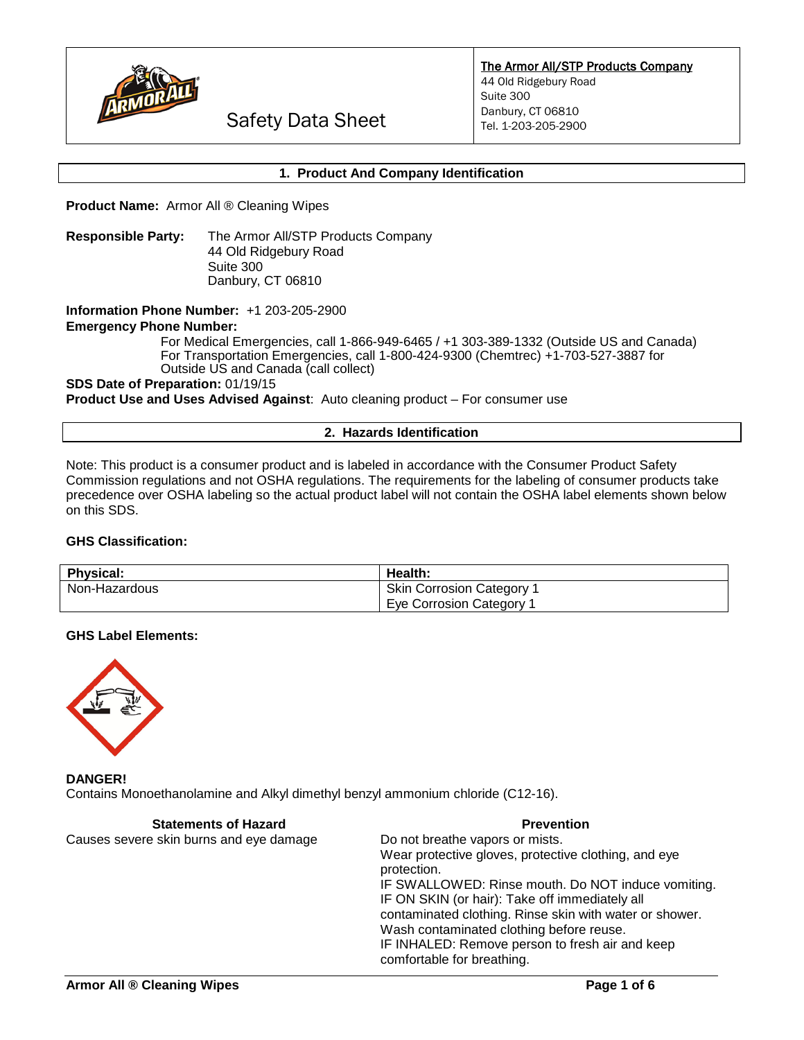

The Armor All/STP Products Company

44 Old Ridgebury Road Suite 300 Danbury, CT 06810 Tel. 1-203-205-2900

Safety Data Sheet

## **1. Product And Company Identification**

**Product Name:** Armor All ® Cleaning Wipes

**Responsible Party:** The Armor All/STP Products Company 44 Old Ridgebury Road Suite 300 Danbury, CT 06810

**Information Phone Number:** +1 203-205-2900

**Emergency Phone Number:** 

For Medical Emergencies, call 1-866-949-6465 / +1 303-389-1332 (Outside US and Canada) For Transportation Emergencies, call 1-800-424-9300 (Chemtrec) +1-703-527-3887 for Outside US and Canada (call collect)

#### **SDS Date of Preparation:** 01/19/15

**Product Use and Uses Advised Against**: Auto cleaning product – For consumer use

#### **2. Hazards Identification**

Note: This product is a consumer product and is labeled in accordance with the Consumer Product Safety Commission regulations and not OSHA regulations. The requirements for the labeling of consumer products take precedence over OSHA labeling so the actual product label will not contain the OSHA label elements shown below on this SDS.

## **GHS Classification:**

| <b>Physical:</b> | <b>Health:</b>                   |
|------------------|----------------------------------|
| Non-Hazardous    | <b>Skin Corrosion Category 1</b> |
|                  | Eye Corrosion Category 1         |

#### **GHS Label Elements:**



**DANGER!** Contains Monoethanolamine and Alkyl dimethyl benzyl ammonium chloride (C12-16).

| <b>Statements of Hazard</b>             | <b>Prevention</b>                                                   |
|-----------------------------------------|---------------------------------------------------------------------|
| Causes severe skin burns and eye damage | Do not breathe vapors or mists.                                     |
|                                         | Wear protective gloves, protective clothing, and eye<br>protection. |
|                                         | IF SWALLOWED: Rinse mouth. Do NOT induce vomiting.                  |
|                                         | IF ON SKIN (or hair): Take off immediately all                      |
|                                         | contaminated clothing. Rinse skin with water or shower.             |
|                                         | Wash contaminated clothing before reuse.                            |
|                                         | IF INHALED: Remove person to fresh air and keep                     |
|                                         | comfortable for breathing.                                          |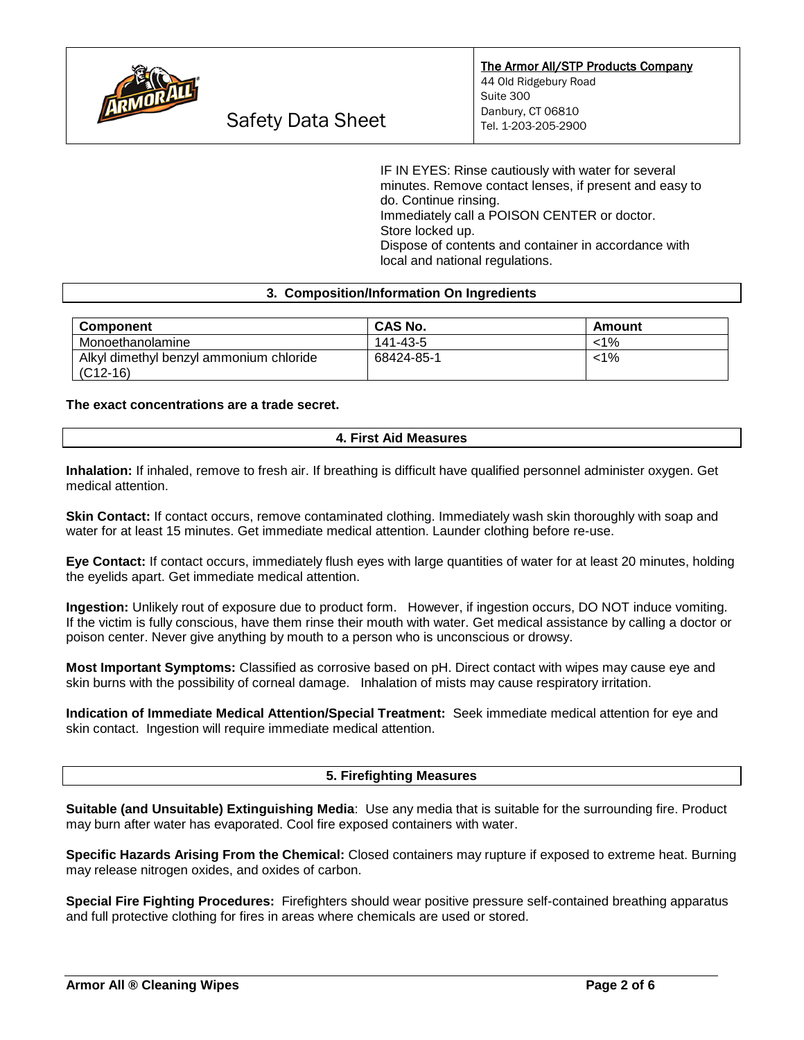

IF IN EYES: Rinse cautiously with water for several minutes. Remove contact lenses, if present and easy to do. Continue rinsing. Immediately call a POISON CENTER or doctor. Store locked up. Dispose of contents and container in accordance with local and national regulations.

## **3. Composition/Information On Ingredients**

| <b>Component</b>                        | <b>CAS No.</b> | Amount  |
|-----------------------------------------|----------------|---------|
| Monoethanolamine                        | 141-43-5       | $< 1\%$ |
| Alkyl dimethyl benzyl ammonium chloride | 68424-85-1     | <1%     |
| $(C12-16)$                              |                |         |

#### **The exact concentrations are a trade secret.**

## **4. First Aid Measures**

**Inhalation:** If inhaled, remove to fresh air. If breathing is difficult have qualified personnel administer oxygen. Get medical attention.

**Skin Contact:** If contact occurs, remove contaminated clothing. Immediately wash skin thoroughly with soap and water for at least 15 minutes. Get immediate medical attention. Launder clothing before re-use.

**Eye Contact:** If contact occurs, immediately flush eyes with large quantities of water for at least 20 minutes, holding the eyelids apart. Get immediate medical attention.

**Ingestion:** Unlikely rout of exposure due to product form. However, if ingestion occurs, DO NOT induce vomiting. If the victim is fully conscious, have them rinse their mouth with water. Get medical assistance by calling a doctor or poison center. Never give anything by mouth to a person who is unconscious or drowsy.

**Most Important Symptoms:** Classified as corrosive based on pH. Direct contact with wipes may cause eye and skin burns with the possibility of corneal damage. Inhalation of mists may cause respiratory irritation.

**Indication of Immediate Medical Attention/Special Treatment:** Seek immediate medical attention for eye and skin contact. Ingestion will require immediate medical attention.

#### **5. Firefighting Measures**

**Suitable (and Unsuitable) Extinguishing Media**: Use any media that is suitable for the surrounding fire. Product may burn after water has evaporated. Cool fire exposed containers with water.

**Specific Hazards Arising From the Chemical:** Closed containers may rupture if exposed to extreme heat. Burning may release nitrogen oxides, and oxides of carbon.

**Special Fire Fighting Procedures:** Firefighters should wear positive pressure self-contained breathing apparatus and full protective clothing for fires in areas where chemicals are used or stored.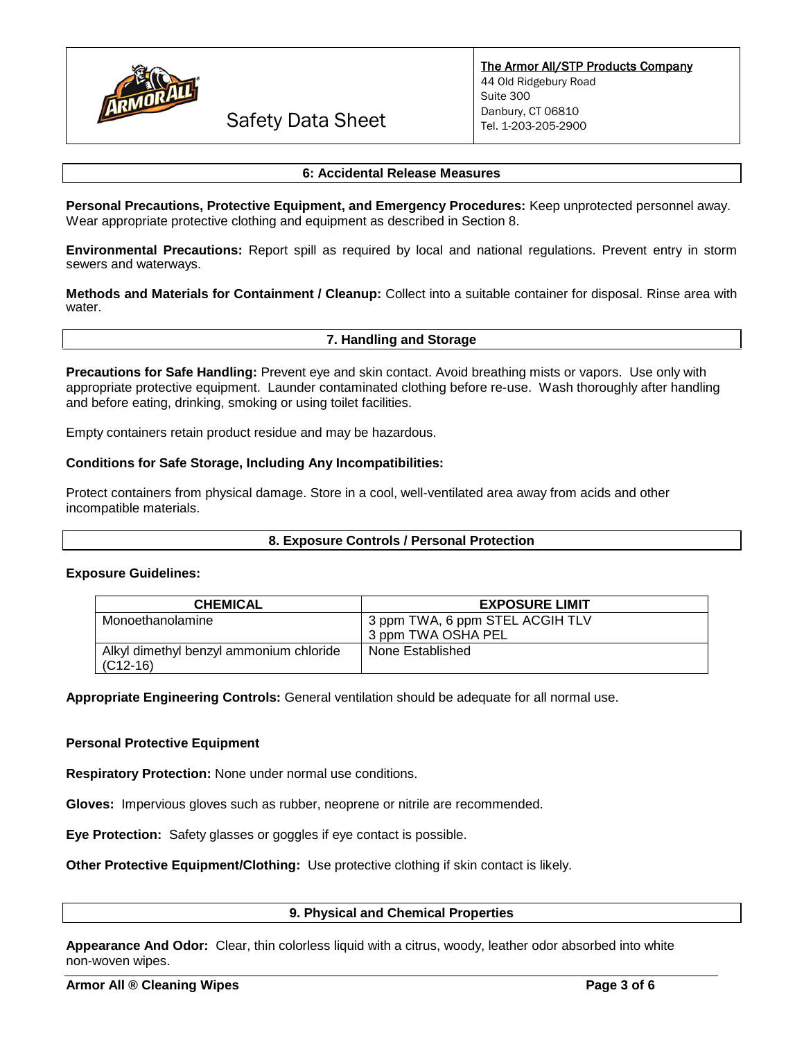

Safety Data Sheet

### **6: Accidental Release Measures**

**Personal Precautions, Protective Equipment, and Emergency Procedures:** Keep unprotected personnel away. Wear appropriate protective clothing and equipment as described in Section 8.

**Environmental Precautions:** Report spill as required by local and national regulations. Prevent entry in storm sewers and waterways.

**Methods and Materials for Containment / Cleanup:** Collect into a suitable container for disposal. Rinse area with water.

#### **7. Handling and Storage**

**Precautions for Safe Handling:** Prevent eye and skin contact. Avoid breathing mists or vapors. Use only with appropriate protective equipment. Launder contaminated clothing before re-use. Wash thoroughly after handling and before eating, drinking, smoking or using toilet facilities.

Empty containers retain product residue and may be hazardous.

## **Conditions for Safe Storage, Including Any Incompatibilities:**

Protect containers from physical damage. Store in a cool, well-ventilated area away from acids and other incompatible materials.

#### **8. Exposure Controls / Personal Protection**

#### **Exposure Guidelines:**

| <b>CHEMICAL</b>                                       | <b>EXPOSURE LIMIT</b>                                 |
|-------------------------------------------------------|-------------------------------------------------------|
| Monoethanolamine                                      | 3 ppm TWA, 6 ppm STEL ACGIH TLV<br>3 ppm TWA OSHA PEL |
| Alkyl dimethyl benzyl ammonium chloride<br>$(C12-16)$ | None Established                                      |

**Appropriate Engineering Controls:** General ventilation should be adequate for all normal use.

#### **Personal Protective Equipment**

**Respiratory Protection:** None under normal use conditions.

**Gloves:** Impervious gloves such as rubber, neoprene or nitrile are recommended.

**Eye Protection:** Safety glasses or goggles if eye contact is possible.

**Other Protective Equipment/Clothing:** Use protective clothing if skin contact is likely.

## **9. Physical and Chemical Properties**

**Appearance And Odor:** Clear, thin colorless liquid with a citrus, woody, leather odor absorbed into white non-woven wipes.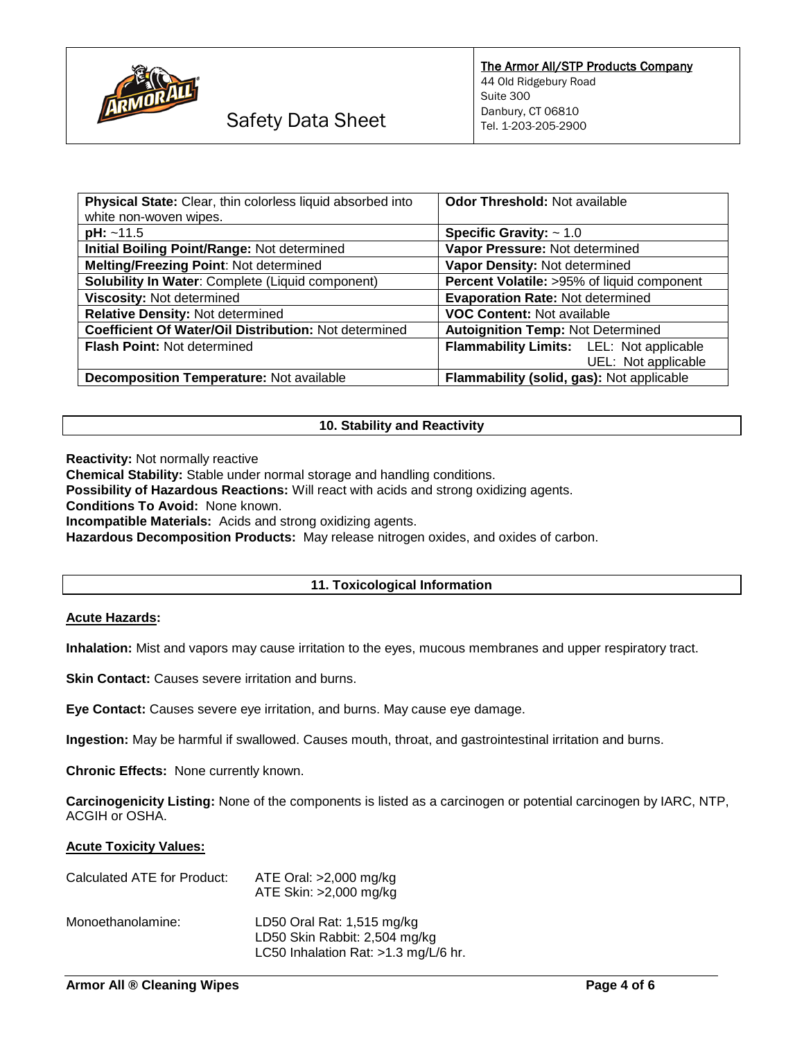

| Physical State: Clear, thin colorless liquid absorbed into<br>white non-woven wipes. | <b>Odor Threshold: Not available</b>       |
|--------------------------------------------------------------------------------------|--------------------------------------------|
| $pH: ~ -11.5$                                                                        | Specific Gravity: $\sim 1.0$               |
| Initial Boiling Point/Range: Not determined                                          | Vapor Pressure: Not determined             |
| Melting/Freezing Point: Not determined                                               | Vapor Density: Not determined              |
| Solubility In Water: Complete (Liquid component)                                     | Percent Volatile: >95% of liquid component |
| Viscosity: Not determined                                                            | <b>Evaporation Rate: Not determined</b>    |
| Relative Density: Not determined                                                     | <b>VOC Content: Not available</b>          |
| Coefficient Of Water/Oil Distribution: Not determined                                | <b>Autoignition Temp: Not Determined</b>   |
| <b>Flash Point: Not determined</b>                                                   | Flammability Limits: LEL: Not applicable   |
|                                                                                      | UEL: Not applicable                        |
| <b>Decomposition Temperature: Not available</b>                                      | Flammability (solid, gas): Not applicable  |

## **10. Stability and Reactivity**

**Reactivity:** Not normally reactive

**Chemical Stability:** Stable under normal storage and handling conditions.

**Possibility of Hazardous Reactions:** Will react with acids and strong oxidizing agents.

**Conditions To Avoid:** None known.

**Incompatible Materials:** Acids and strong oxidizing agents.

**Hazardous Decomposition Products:** May release nitrogen oxides, and oxides of carbon.

## **11. Toxicological Information**

#### **Acute Hazards:**

**Inhalation:** Mist and vapors may cause irritation to the eyes, mucous membranes and upper respiratory tract.

**Skin Contact:** Causes severe irritation and burns.

**Eye Contact:** Causes severe eye irritation, and burns. May cause eye damage.

**Ingestion:** May be harmful if swallowed. Causes mouth, throat, and gastrointestinal irritation and burns.

**Chronic Effects:** None currently known.

**Carcinogenicity Listing:** None of the components is listed as a carcinogen or potential carcinogen by IARC, NTP, ACGIH or OSHA.

#### **Acute Toxicity Values:**

| Calculated ATE for Product: | ATE Oral: >2,000 mg/kg<br>ATE Skin: >2,000 mg/kg                                                    |
|-----------------------------|-----------------------------------------------------------------------------------------------------|
| Monoethanolamine:           | LD50 Oral Rat: 1,515 mg/kg<br>LD50 Skin Rabbit: 2,504 mg/kg<br>LC50 Inhalation Rat: >1.3 mg/L/6 hr. |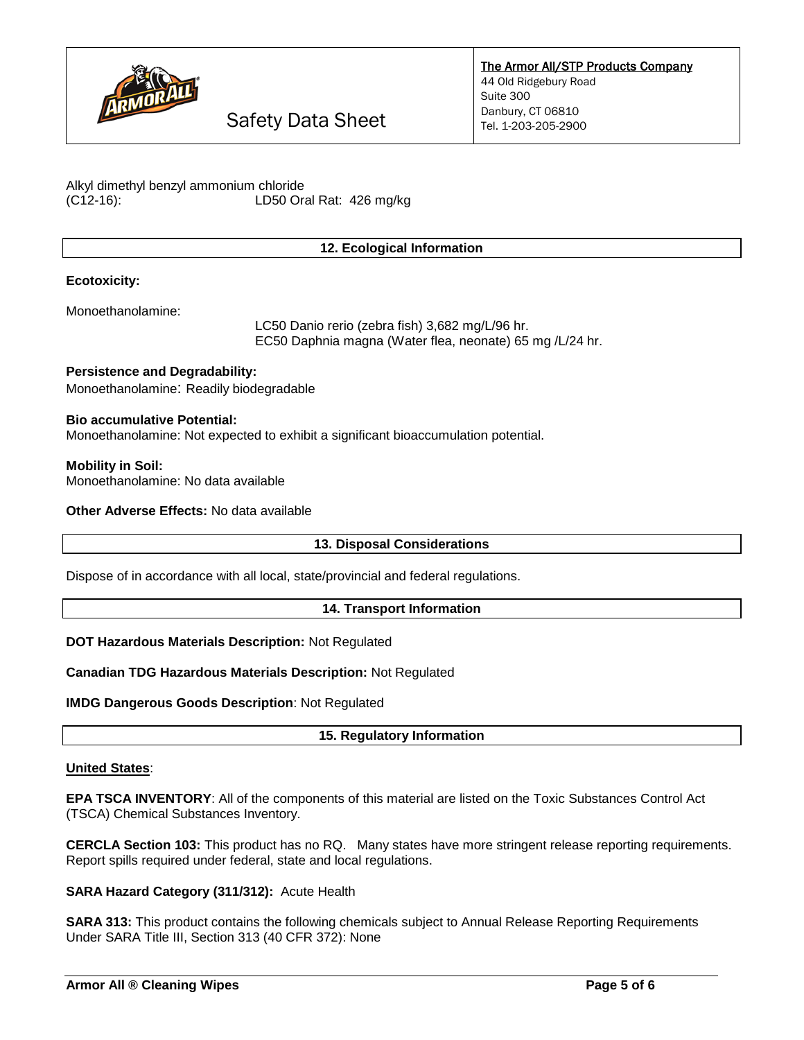

Safety Data Sheet

Alkyl dimethyl benzyl ammonium chloride (C12-16): LD50 Oral Rat: 426 mg/kg

# **12. Ecological Information**

## **Ecotoxicity:**

Monoethanolamine:

LC50 Danio rerio (zebra fish) 3,682 mg/L/96 hr. EC50 Daphnia magna (Water flea, neonate) 65 mg /L/24 hr.

**Persistence and Degradability:** Monoethanolamine: Readily biodegradable

**Bio accumulative Potential:** Monoethanolamine: Not expected to exhibit a significant bioaccumulation potential.

**Mobility in Soil:** Monoethanolamine: No data available

**Other Adverse Effects:** No data available

#### **13. Disposal Considerations**

Dispose of in accordance with all local, state/provincial and federal regulations.

#### **14. Transport Information**

**DOT Hazardous Materials Description:** Not Regulated

**Canadian TDG Hazardous Materials Description:** Not Regulated

**IMDG Dangerous Goods Description**: Not Regulated

**15. Regulatory Information**

#### **United States**:

**EPA TSCA INVENTORY**: All of the components of this material are listed on the Toxic Substances Control Act (TSCA) Chemical Substances Inventory.

**CERCLA Section 103:** This product has no RQ. Many states have more stringent release reporting requirements. Report spills required under federal, state and local regulations.

**SARA Hazard Category (311/312):** Acute Health

**SARA 313:** This product contains the following chemicals subject to Annual Release Reporting Requirements Under SARA Title III, Section 313 (40 CFR 372): None